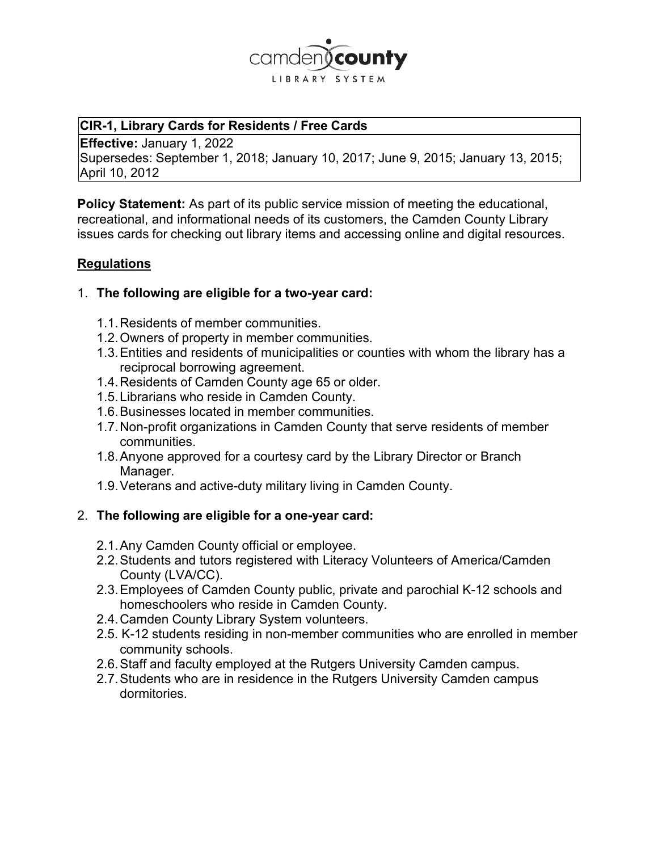

#### **CIR-1, Library Cards for Residents / Free Cards**

**Effective:** January 1, 2022 Supersedes: September 1, 2018; January 10, 2017; June 9, 2015; January 13, 2015; April 10, 2012

**Policy Statement:** As part of its public service mission of meeting the educational, recreational, and informational needs of its customers, the Camden County Library issues cards for checking out library items and accessing online and digital resources.

### **Regulations**

### 1. **The following are eligible for a two-year card:**

- 1.1.Residents of member communities.
- 1.2.Owners of property in member communities.
- 1.3.Entities and residents of municipalities or counties with whom the library has a reciprocal borrowing agreement.
- 1.4.Residents of Camden County age 65 or older.
- 1.5.Librarians who reside in Camden County.
- 1.6.Businesses located in member communities.
- 1.7.Non-profit organizations in Camden County that serve residents of member communities.
- 1.8.Anyone approved for a courtesy card by the Library Director or Branch Manager.
- 1.9.Veterans and active-duty military living in Camden County.

## 2. **The following are eligible for a one-year card:**

- 2.1.Any Camden County official or employee.
- 2.2.Students and tutors registered with Literacy Volunteers of America/Camden County (LVA/CC).
- 2.3.Employees of Camden County public, private and parochial K-12 schools and homeschoolers who reside in Camden County.
- 2.4.Camden County Library System volunteers.
- 2.5. K-12 students residing in non-member communities who are enrolled in member community schools.
- 2.6.Staff and faculty employed at the Rutgers University Camden campus.
- 2.7.Students who are in residence in the Rutgers University Camden campus dormitories.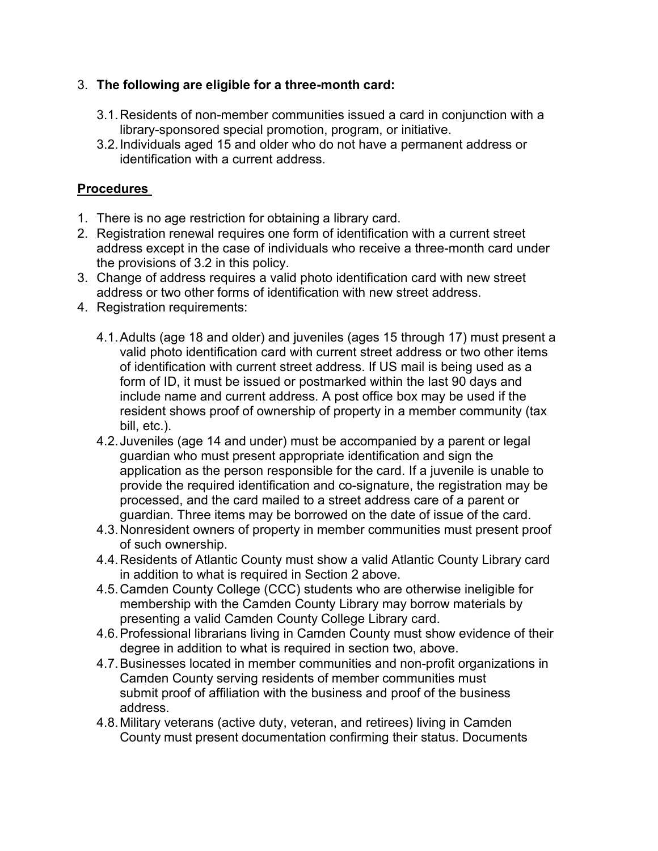## 3. **The following are eligible for a three-month card:**

- 3.1.Residents of non-member communities issued a card in conjunction with a library-sponsored special promotion, program, or initiative.
- 3.2.Individuals aged 15 and older who do not have a permanent address or identification with a current address.

# **Procedures**

- 1. There is no age restriction for obtaining a library card.
- 2. Registration renewal requires one form of identification with a current street address except in the case of individuals who receive a three-month card under the provisions of 3.2 in this policy.
- 3. Change of address requires a valid photo identification card with new street address or two other forms of identification with new street address.
- 4. Registration requirements:
	- 4.1.Adults (age 18 and older) and juveniles (ages 15 through 17) must present a valid photo identification card with current street address or two other items of identification with current street address. If US mail is being used as a form of ID, it must be issued or postmarked within the last 90 days and include name and current address. A post office box may be used if the resident shows proof of ownership of property in a member community (tax bill, etc.).
	- 4.2.Juveniles (age 14 and under) must be accompanied by a parent or legal guardian who must present appropriate identification and sign the application as the person responsible for the card. If a juvenile is unable to provide the required identification and co-signature, the registration may be processed, and the card mailed to a street address care of a parent or guardian. Three items may be borrowed on the date of issue of the card.
	- 4.3.Nonresident owners of property in member communities must present proof of such ownership.
	- 4.4.Residents of Atlantic County must show a valid Atlantic County Library card in addition to what is required in Section 2 above.
	- 4.5.Camden County College (CCC) students who are otherwise ineligible for membership with the Camden County Library may borrow materials by presenting a valid Camden County College Library card.
	- 4.6.Professional librarians living in Camden County must show evidence of their degree in addition to what is required in section two, above.
	- 4.7.Businesses located in member communities and non-profit organizations in Camden County serving residents of member communities must submit proof of affiliation with the business and proof of the business address.
	- 4.8.Military veterans (active duty, veteran, and retirees) living in Camden County must present documentation confirming their status. Documents